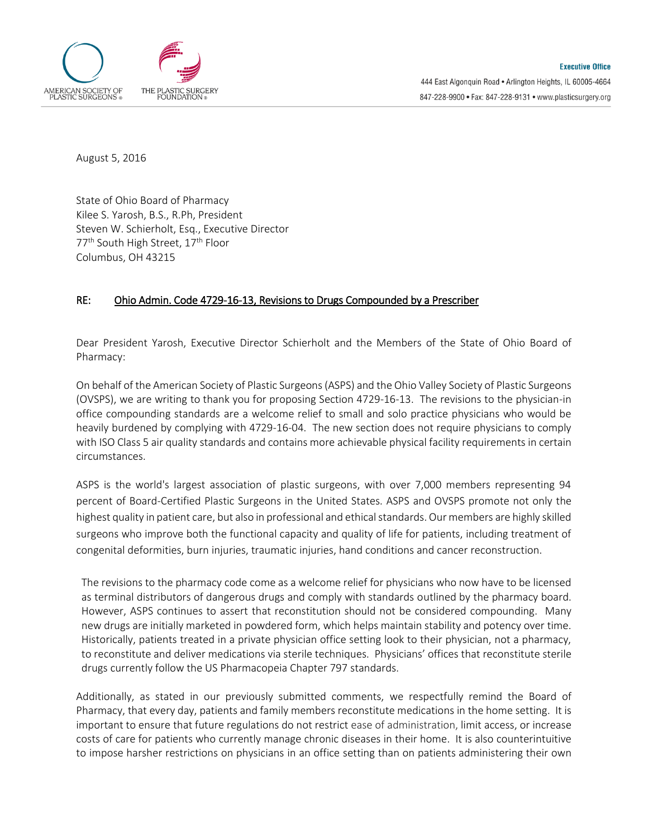

August 5, 2016

State of Ohio Board of Pharmacy Kilee S. Yarosh, B.S., R.Ph, President Steven W. Schierholt, Esq., Executive Director 77<sup>th</sup> South High Street, 17<sup>th</sup> Floor Columbus, OH 43215

## RE: Ohio Admin. Code 4729-16-13, Revisions to Drugs Compounded by a Prescriber

Dear President Yarosh, Executive Director Schierholt and the Members of the State of Ohio Board of Pharmacy:

On behalf of the American Society of Plastic Surgeons(ASPS) and the Ohio Valley Society of Plastic Surgeons (OVSPS), we are writing to thank you for proposing Section 4729-16-13. The revisions to the physician-in office compounding standards are a welcome relief to small and solo practice physicians who would be heavily burdened by complying with 4729-16-04. The new section does not require physicians to comply with ISO Class 5 air quality standards and contains more achievable physical facility requirements in certain circumstances.

ASPS is the world's largest association of plastic surgeons, with over 7,000 members representing 94 percent of Board-Certified Plastic Surgeons in the United States. ASPS and OVSPS promote not only the highest quality in patient care, but also in professional and ethical standards. Our members are highly skilled surgeons who improve both the functional capacity and quality of life for patients, including treatment of congenital deformities, burn injuries, traumatic injuries, hand conditions and cancer reconstruction.

The revisions to the pharmacy code come as a welcome relief for physicians who now have to be licensed as terminal distributors of dangerous drugs and comply with standards outlined by the pharmacy board. However, ASPS continues to assert that reconstitution should not be considered compounding. Many new drugs are initially marketed in powdered form, which helps maintain stability and potency over time. Historically, patients treated in a private physician office setting look to their physician, not a pharmacy, to reconstitute and deliver medications via sterile techniques. Physicians' offices that reconstitute sterile drugs currently follow the US Pharmacopeia Chapter 797 standards.

Additionally, as stated in our previously submitted comments, we respectfully remind the Board of Pharmacy, that every day, patients and family members reconstitute medications in the home setting. It is important to ensure that future regulations do not restrict ease of administration, limit access, or increase costs of care for patients who currently manage chronic diseases in their home. It is also counterintuitive to impose harsher restrictions on physicians in an office setting than on patients administering their own